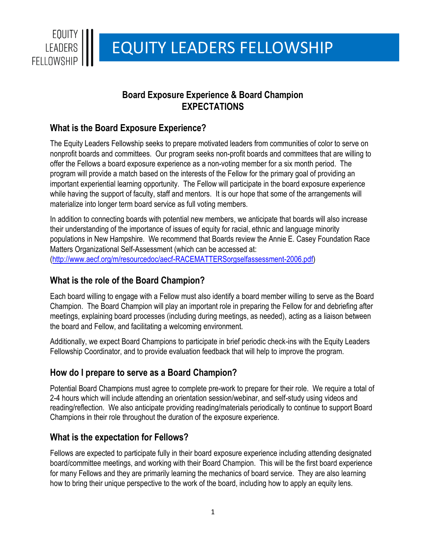

# EQUITY LEADERS FELLOWSHIP

# **Board Exposure Experience & Board Champion EXPECTATIONS**

## **What is the Board Exposure Experience?**

The Equity Leaders Fellowship seeks to prepare motivated leaders from communities of color to serve on nonprofit boards and committees. Our program seeks non-profit boards and committees that are willing to offer the Fellows a board exposure experience as a non-voting member for a six month period. The program will provide a match based on the interests of the Fellow for the primary goal of providing an important experiential learning opportunity. The Fellow will participate in the board exposure experience while having the support of faculty, staff and mentors. It is our hope that some of the arrangements will materialize into longer term board service as full voting members.

In addition to connecting boards with potential new members, we anticipate that boards will also increase their understanding of the importance of issues of equity for racial, ethnic and language minority populations in New Hampshire. We recommend that Boards review the Annie E. Casey Foundation Race Matters Organizational Self-Assessment (which can be accessed at: [\(http://www.aecf.org/m/resourcedoc/aecf-RACEMATTERSorgselfassessment-2006.pdf\)](http://www.aecf.org/m/resourcedoc/aecf-RACEMATTERSorgselfassessment-2006.pdf)

### **What is the role of the Board Champion?**

Each board willing to engage with a Fellow must also identify a board member willing to serve as the Board Champion. The Board Champion will play an important role in preparing the Fellow for and debriefing after meetings, explaining board processes (including during meetings, as needed), acting as a liaison between the board and Fellow, and facilitating a welcoming environment.

Additionally, we expect Board Champions to participate in brief periodic check-ins with the Equity Leaders Fellowship Coordinator, and to provide evaluation feedback that will help to improve the program.

#### **How do I prepare to serve as a Board Champion?**

Potential Board Champions must agree to complete pre-work to prepare for their role. We require a total of 2-4 hours which will include attending an orientation session/webinar, and self-study using videos and reading/reflection. We also anticipate providing reading/materials periodically to continue to support Board Champions in their role throughout the duration of the exposure experience.

#### **What is the expectation for Fellows?**

Fellows are expected to participate fully in their board exposure experience including attending designated board/committee meetings, and working with their Board Champion. This will be the first board experience for many Fellows and they are primarily learning the mechanics of board service. They are also learning how to bring their unique perspective to the work of the board, including how to apply an equity lens.